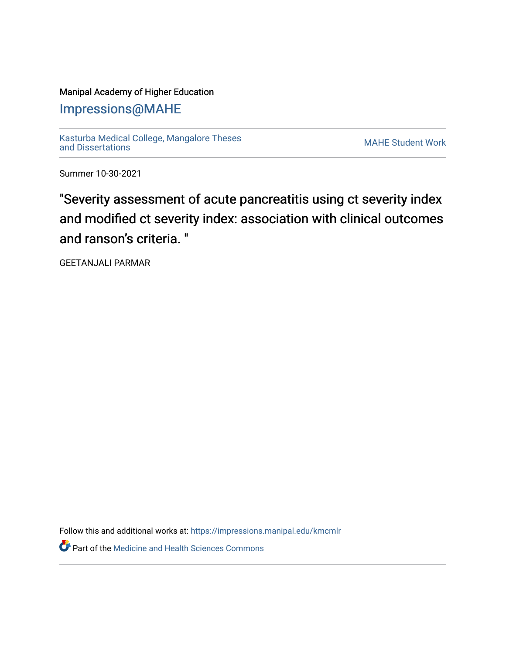# Manipal Academy of Higher Education

[Impressions@MAHE](https://impressions.manipal.edu/)

[Kasturba Medical College, Mangalore Theses](https://impressions.manipal.edu/kmcmlr) [and Dissertations](https://impressions.manipal.edu/kmcmlr) [MAHE Student Work](https://impressions.manipal.edu/student-work) 

Summer 10-30-2021

"Severity assessment of acute pancreatitis using ct severity index and modified ct severity index: association with clinical outcomes and ranson's criteria. "

GEETANJALI PARMAR

Follow this and additional works at: [https://impressions.manipal.edu/kmcmlr](https://impressions.manipal.edu/kmcmlr?utm_source=impressions.manipal.edu%2Fkmcmlr%2F243&utm_medium=PDF&utm_campaign=PDFCoverPages) 

*O* Part of the Medicine and Health Sciences Commons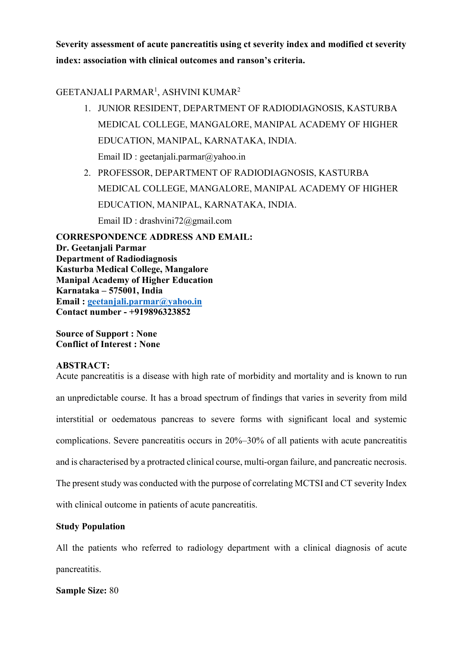Severity assessment of acute pancreatitis using ct severity index and modified ct severity index: association with clinical outcomes and ranson's criteria.

## GEETANJALI PARMAR<sup>1</sup>, ASHVINI KUMAR<sup>2</sup>

- 1. JUNIOR RESIDENT, DEPARTMENT OF RADIODIAGNOSIS, KASTURBA MEDICAL COLLEGE, MANGALORE, MANIPAL ACADEMY OF HIGHER EDUCATION, MANIPAL, KARNATAKA, INDIA. Email ID : geetanjali.parmar@yahoo.in
- 2. PROFESSOR, DEPARTMENT OF RADIODIAGNOSIS, KASTURBA MEDICAL COLLEGE, MANGALORE, MANIPAL ACADEMY OF HIGHER EDUCATION, MANIPAL, KARNATAKA, INDIA. Email ID : drashvini72@gmail.com

CORRESPONDENCE ADDRESS AND EMAIL: Dr. Geetanjali Parmar Department of Radiodiagnosis Kasturba Medical College, Mangalore Manipal Academy of Higher Education Karnataka – 575001, India Email : geetanjali.parmar@yahoo.in Contact number - +919896323852

Source of Support : None Conflict of Interest : None

#### ABSTRACT:

Acute pancreatitis is a disease with high rate of morbidity and mortality and is known to run an unpredictable course. It has a broad spectrum of findings that varies in severity from mild interstitial or oedematous pancreas to severe forms with significant local and systemic complications. Severe pancreatitis occurs in 20%–30% of all patients with acute pancreatitis and is characterised by a protracted clinical course, multi-organ failure, and pancreatic necrosis. The present study was conducted with the purpose of correlating MCTSI and CT severity Index with clinical outcome in patients of acute pancreatitis.

#### Study Population

All the patients who referred to radiology department with a clinical diagnosis of acute pancreatitis.

Sample Size: 80